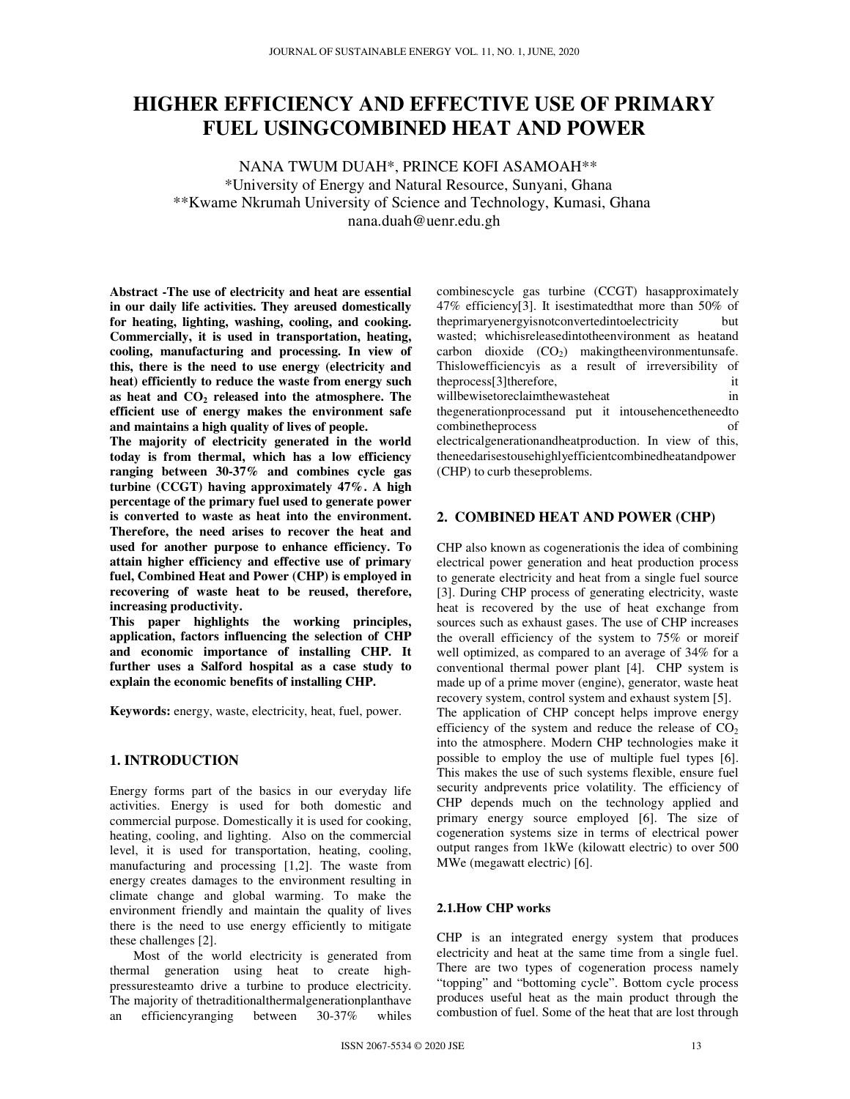# **HIGHER EFFICIENCY AND EFFECTIVE USE OF PRIMARY FUEL USINGCOMBINED HEAT AND POWER**

NANA TWUM DUAH\*, PRINCE KOFI ASAMOAH\*\* \*University of Energy and Natural Resource, Sunyani, Ghana \*\*Kwame Nkrumah University of Science and Technology, Kumasi, Ghana nana.duah@uenr.edu.gh

**Abstract -The use of electricity and heat are essential in our daily life activities. They areused domestically for heating, lighting, washing, cooling, and cooking. Commercially, it is used in transportation, heating, cooling, manufacturing and processing. In view of this, there is the need to use energy (electricity and heat) efficiently to reduce the waste from energy such as heat and CO<sup>2</sup> released into the atmosphere. The efficient use of energy makes the environment safe and maintains a high quality of lives of people.** 

**The majority of electricity generated in the world today is from thermal, which has a low efficiency ranging between 30-37% and combines cycle gas turbine (CCGT) having approximately 47%. A high percentage of the primary fuel used to generate power is converted to waste as heat into the environment. Therefore, the need arises to recover the heat and used for another purpose to enhance efficiency. To attain higher efficiency and effective use of primary fuel, Combined Heat and Power (CHP) is employed in recovering of waste heat to be reused, therefore, increasing productivity.** 

**This paper highlights the working principles, application, factors influencing the selection of CHP and economic importance of installing CHP. It further uses a Salford hospital as a case study to explain the economic benefits of installing CHP.** 

**Keywords:** energy, waste, electricity, heat, fuel, power.

# **1. INTRODUCTION**

Energy forms part of the basics in our everyday life activities. Energy is used for both domestic and commercial purpose. Domestically it is used for cooking, heating, cooling, and lighting. Also on the commercial level, it is used for transportation, heating, cooling, manufacturing and processing [1,2]. The waste from energy creates damages to the environment resulting in climate change and global warming. To make the environment friendly and maintain the quality of lives there is the need to use energy efficiently to mitigate these challenges [2].

Most of the world electricity is generated from thermal generation using heat to create highpressuresteamto drive a turbine to produce electricity. The majority of thetraditionalthermalgenerationplanthave an efficiencyranging between 30-37% whiles

combinescycle gas turbine (CCGT) hasapproximately 47% efficiency[3]. It isestimatedthat more than 50% of theprimaryenergyisnotconvertedintoelectricity but wasted; whichisreleasedintotheenvironment as heatand carbon dioxide  $(CO_2)$  making the environmentunsafe. Thislowefficiencyis as a result of irreversibility of theprocess[3]therefore, it willbewisetoreclaimthewasteheat in thegenerationprocessand put it intousehencetheneedto combinetheprocess of electricalgenerationandheatproduction. In view of this, theneedarisestousehighlyefficientcombinedheatandpower (CHP) to curb theseproblems.

# **2. COMBINED HEAT AND POWER (CHP)**

CHP also known as cogenerationis the idea of combining electrical power generation and heat production process to generate electricity and heat from a single fuel source [3]. During CHP process of generating electricity, waste heat is recovered by the use of heat exchange from sources such as exhaust gases. The use of CHP increases the overall efficiency of the system to 75% or moreif well optimized, as compared to an average of 34% for a conventional thermal power plant [4]. CHP system is made up of a prime mover (engine), generator, waste heat recovery system, control system and exhaust system [5]. The application of CHP concept helps improve energy efficiency of the system and reduce the release of  $CO<sub>2</sub>$ into the atmosphere. Modern CHP technologies make it possible to employ the use of multiple fuel types [6]. This makes the use of such systems flexible, ensure fuel security andprevents price volatility. The efficiency of CHP depends much on the technology applied and primary energy source employed [6]. The size of cogeneration systems size in terms of electrical power output ranges from 1kWe (kilowatt electric) to over 500 MWe (megawatt electric) [6].

# **2.1.How CHP works**

CHP is an integrated energy system that produces electricity and heat at the same time from a single fuel. There are two types of cogeneration process namely "topping" and "bottoming cycle". Bottom cycle process produces useful heat as the main product through the combustion of fuel. Some of the heat that are lost through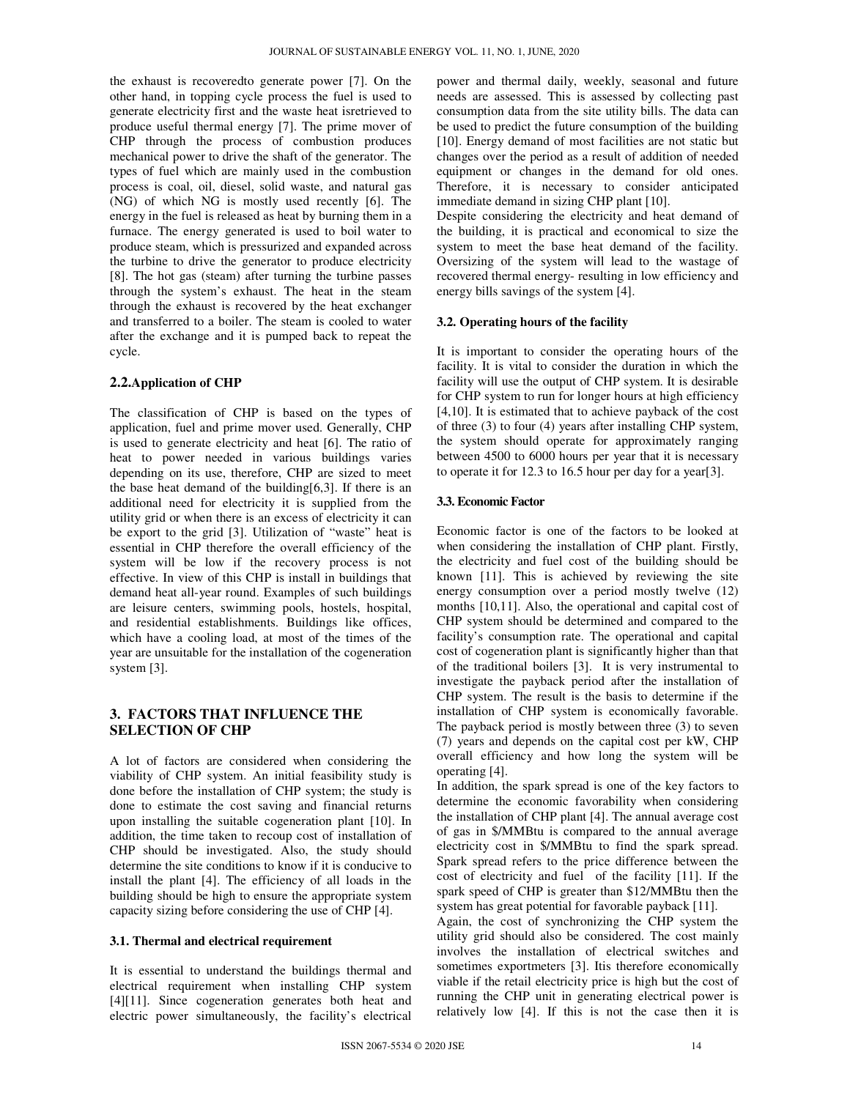the exhaust is recoveredto generate power [7]. On the other hand, in topping cycle process the fuel is used to generate electricity first and the waste heat isretrieved to produce useful thermal energy [7]. The prime mover of CHP through the process of combustion produces mechanical power to drive the shaft of the generator. The types of fuel which are mainly used in the combustion process is coal, oil, diesel, solid waste, and natural gas (NG) of which NG is mostly used recently [6]. The energy in the fuel is released as heat by burning them in a furnace. The energy generated is used to boil water to produce steam, which is pressurized and expanded across the turbine to drive the generator to produce electricity [8]. The hot gas (steam) after turning the turbine passes through the system's exhaust. The heat in the steam through the exhaust is recovered by the heat exchanger and transferred to a boiler. The steam is cooled to water after the exchange and it is pumped back to repeat the cycle.

## **2.2.Application of CHP**

The classification of CHP is based on the types of application, fuel and prime mover used. Generally, CHP is used to generate electricity and heat [6]. The ratio of heat to power needed in various buildings varies depending on its use, therefore, CHP are sized to meet the base heat demand of the building $[6,3]$ . If there is an additional need for electricity it is supplied from the utility grid or when there is an excess of electricity it can be export to the grid [3]. Utilization of "waste" heat is essential in CHP therefore the overall efficiency of the system will be low if the recovery process is not effective. In view of this CHP is install in buildings that demand heat all-year round. Examples of such buildings are leisure centers, swimming pools, hostels, hospital, and residential establishments. Buildings like offices, which have a cooling load, at most of the times of the year are unsuitable for the installation of the cogeneration system [3].

# **3. FACTORS THAT INFLUENCE THE SELECTION OF CHP**

A lot of factors are considered when considering the viability of CHP system. An initial feasibility study is done before the installation of CHP system; the study is done to estimate the cost saving and financial returns upon installing the suitable cogeneration plant [10]. In addition, the time taken to recoup cost of installation of CHP should be investigated. Also, the study should determine the site conditions to know if it is conducive to install the plant [4]. The efficiency of all loads in the building should be high to ensure the appropriate system capacity sizing before considering the use of CHP [4].

## **3.1. Thermal and electrical requirement**

It is essential to understand the buildings thermal and electrical requirement when installing CHP system [4][11]. Since cogeneration generates both heat and electric power simultaneously, the facility's electrical power and thermal daily, weekly, seasonal and future needs are assessed. This is assessed by collecting past consumption data from the site utility bills. The data can be used to predict the future consumption of the building [10]. Energy demand of most facilities are not static but changes over the period as a result of addition of needed equipment or changes in the demand for old ones. Therefore, it is necessary to consider anticipated immediate demand in sizing CHP plant [10].

Despite considering the electricity and heat demand of the building, it is practical and economical to size the system to meet the base heat demand of the facility. Oversizing of the system will lead to the wastage of recovered thermal energy- resulting in low efficiency and energy bills savings of the system [4].

## **3.2. Operating hours of the facility**

It is important to consider the operating hours of the facility. It is vital to consider the duration in which the facility will use the output of CHP system. It is desirable for CHP system to run for longer hours at high efficiency [4,10]. It is estimated that to achieve payback of the cost of three (3) to four (4) years after installing CHP system, the system should operate for approximately ranging between 4500 to 6000 hours per year that it is necessary to operate it for 12.3 to 16.5 hour per day for a year[3].

## **3.3. Economic Factor**

Economic factor is one of the factors to be looked at when considering the installation of CHP plant. Firstly, the electricity and fuel cost of the building should be known [11]. This is achieved by reviewing the site energy consumption over a period mostly twelve (12) months [10,11]. Also, the operational and capital cost of CHP system should be determined and compared to the facility's consumption rate. The operational and capital cost of cogeneration plant is significantly higher than that of the traditional boilers [3]. It is very instrumental to investigate the payback period after the installation of CHP system. The result is the basis to determine if the installation of CHP system is economically favorable. The payback period is mostly between three (3) to seven (7) years and depends on the capital cost per kW, CHP overall efficiency and how long the system will be operating [4].

In addition, the spark spread is one of the key factors to determine the economic favorability when considering the installation of CHP plant [4]. The annual average cost of gas in \$/MMBtu is compared to the annual average electricity cost in \$/MMBtu to find the spark spread. Spark spread refers to the price difference between the cost of electricity and fuel of the facility [11]. If the spark speed of CHP is greater than \$12/MMBtu then the system has great potential for favorable payback [11].

Again, the cost of synchronizing the CHP system the utility grid should also be considered. The cost mainly involves the installation of electrical switches and sometimes exportmeters [3]. Itis therefore economically viable if the retail electricity price is high but the cost of running the CHP unit in generating electrical power is relatively low [4]. If this is not the case then it is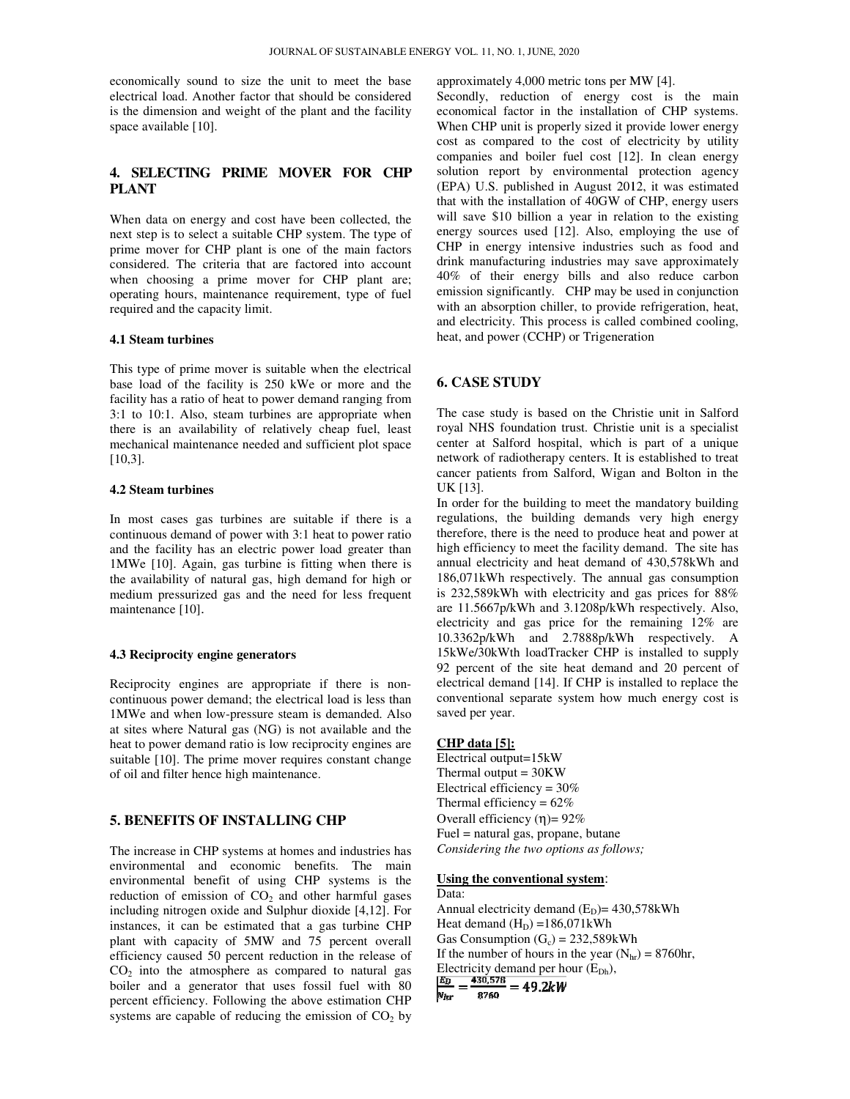economically sound to size the unit to meet the base electrical load. Another factor that should be considered is the dimension and weight of the plant and the facility space available [10].

# **4. SELECTING PRIME MOVER FOR CHP PLANT**

When data on energy and cost have been collected, the next step is to select a suitable CHP system. The type of prime mover for CHP plant is one of the main factors considered. The criteria that are factored into account when choosing a prime mover for CHP plant are; operating hours, maintenance requirement, type of fuel required and the capacity limit.

#### **4.1 Steam turbines**

This type of prime mover is suitable when the electrical base load of the facility is 250 kWe or more and the facility has a ratio of heat to power demand ranging from 3:1 to 10:1. Also, steam turbines are appropriate when there is an availability of relatively cheap fuel, least mechanical maintenance needed and sufficient plot space [10,3].

## **4.2 Steam turbines**

In most cases gas turbines are suitable if there is a continuous demand of power with 3:1 heat to power ratio and the facility has an electric power load greater than 1MWe [10]. Again, gas turbine is fitting when there is the availability of natural gas, high demand for high or medium pressurized gas and the need for less frequent maintenance [10]. nomically sound to size the unit to meet the base<br>trical load. Another factor that should be considered<br>ee dimension and weight of the plant and the facility<br>ce available [10].<br>**SELECTING PRIME MOVER FOR CHP**<br>**SELECTING PR** 

### **4.3 Reciprocity engine generators**

Reciprocity engines are appropriate if there is non continuous power demand; the electrical load is less than 1MWe and when low-pressure steam is demanded. Also at sites where Natural gas (NG) is not available and the heat to power demand ratio is low reciprocity engines are suitable [10]. The prime mover requires constant change of oil and filter hence high maintenance. en low-pressure steam is dema<br>Vatural gas (NG) is not availa<br>emand ratio is low reciprocity

# **5. BENEFITS OF INSTALLING CHP INSTALLING**

The increase in CHP systems at homes and industries has environmental and economic benefits. The main environmental benefit of using CHP systems is the reduction of emission of  $CO<sub>2</sub>$  and other harmful gases including nitrogen oxide and Sulphur dioxide [4,12]. For instances, it can be estimated that a gas turbine CHP plant with capacity of 5MW and 75 percent overall efficiency caused 50 percent reduction in the release of  $CO<sub>2</sub>$  into the atmosphere as compared to natural gas instances, it can be estimated that a gas turbine CHP plant with capacity of 5MW and 75 percent overall efficiency caused 50 percent reduction in the release of  $CO<sub>2</sub>$  into the atmosphere as compared to natural gas bo percent efficiency. Following the above estimation CHP systems are capable of reducing the emission of  $CO<sub>2</sub>$  by s at homes and industries has<br>bomic benefits. The main<br>using CHP systems is the<br> $10<sub>2</sub>$  and other harmful gases<br>d Sulphur dioxide [4,12]. For

approximately  $4,000$  metric tons per MW  $[4]$ .

Secondly, reduction of energy cost is the main economical factor in the installation of CHP systems. When CHP unit is properly sized it provide lower energy cost as compared to the cost of electricity by utility companies and boiler fuel cost [12]. In clean energy solution report by environmental protection agency (EPA) U.S. published in August 2012, it was estimated that with the installation of 40GW of CHP, energy users will save \$10 billion a year in relation to the existing energy sources used [12]. Also, employing the use of CHP in energy intensive industries such as food and drink manufacturing industries may save approximately 40% of their energy bills and also reduce carbon emission significantly. CHP may be used in conjunction with an absorption chiller, to provide refrigeration, heat, and electricity. This process is called combined cooling, heat, and power (CCHP) or Trigeneration Secondly, reduction of energy cost is the main economical factor in the installation of CHP systems.<br>When CHP unit is properly sized it provide lower energy cost as compared to the cost of electricity by utility companies

# **6. CASE STUDY**

The case study is based on the Christie unit in Salford royal NHS foundation trust. Christie unit is a specialist center at Salford hospital, which is part of a unique network of radiotherapy centers. It is established to treat cancer patients from Salford, Wigan and Bolton in the UK [13].

In order for the building to meet the mandatory building regulations, the building demands very high energy therefore, there is the need to produce heat and power at high efficiency to meet the facility demand. The site has annual electricity and heat demand of 430,578kWh and 186,071kWh respectively. The annual gas consumption is 232,589kWh with electricity and gas prices for 88% are 11.5667p/kWh and 3.1208p/kWh respectively. Also, electricity and gas price for the remaining 12% are 10.3362p/kWh and 2.7888p/kWh respectively. A 15kWe/30kWth loadTracker CHP is installed to supply 92 percent of the site heat demand and 20 percent of electrical demand [14]. If CHP is installed to replace the conventional separate system how much energy cost is saved per year. A) U.S. published in August 2012, it was estimated with the installation of 40GW of CHP, energy users used [12]. Also, employing the use of P in energy intensive industries such as food and facility manufacturing industri

#### **CHP data [5]:**

Electrical output=15kW Thermal output = 30KW Electrical efficiency = 30% Thermal efficiency =  $62\%$ Overall efficiency (η)=  $92%$ Fuel = natural gas, propane, butane Considering the two options as follows;

#### **Using the conventional system**:

Data: Annual electricity demand  $(E_D) = 430,578kWh$ Heat demand  $(H_D) = 186,071$  kWh Gas Consumption  $(G_c) = 232,589$ kWh If the number of hours in the year  $(N<sub>hr</sub>) = 8760$ hr, Electricity demand per hour (E<sub>Dh</sub>),<br>  $\frac{EB}{2} = \frac{430,578}{324} = 49.2kW$  $N_{hr}$ 8760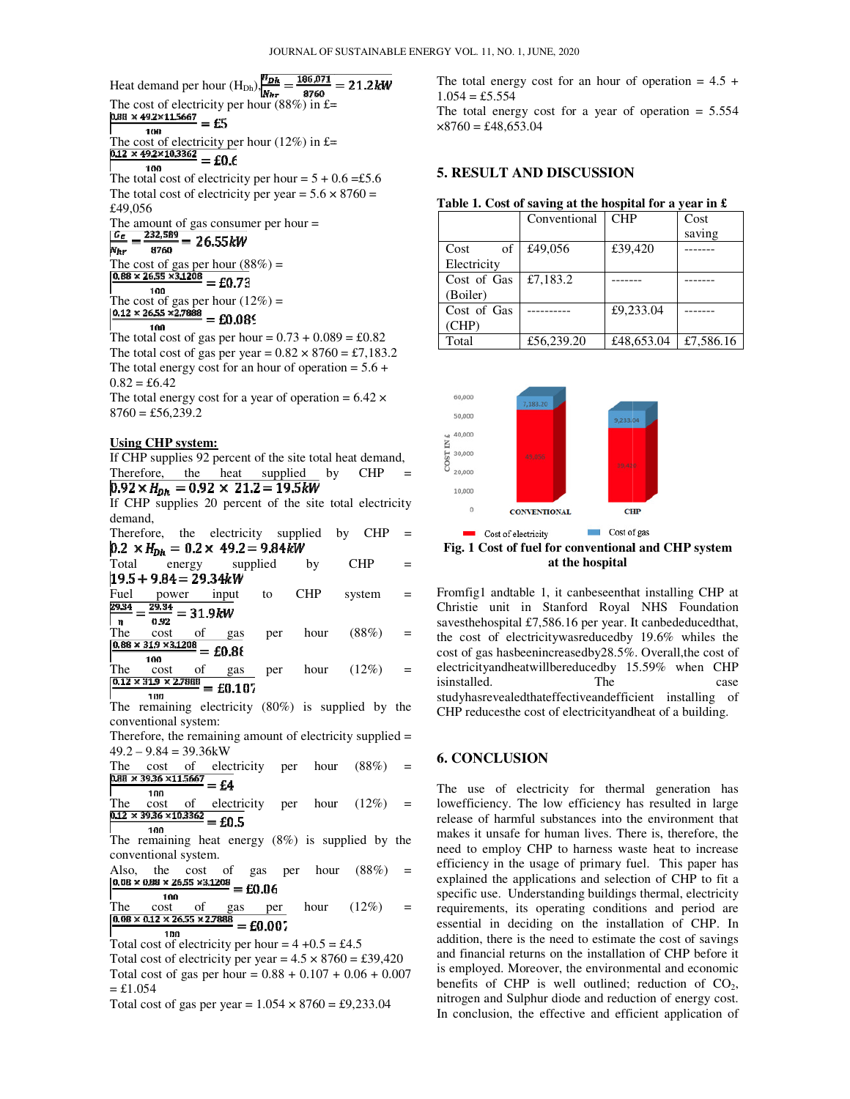Heat demand per hour  $(H_{Dh})$ ,  $\frac{\mu_{Dh}}{M_{hr}}$  =

The cost of electricity per hour (88%) in £=<br> $\frac{\text{p}_{88} \times 49.2 \times 11.5667}{1} = \text{f}$ 

The cost of electricity per hour (12%) in £=<br>  $\frac{0.12 \times 492 \times 10.3362}{2000}$  = cn c The cost of electricity per hour (88%) in £=<br>  $\frac{0.88 \times 492 \times 11.5667}{100} =$  £5<br>
The cost of electricity per hour (12%) in £=<br>  $\frac{0.12 \times 492 \times 10.3362}{100} =$  £0.6<br>
The total cost of electricity per hour = 5 + 0.6 = £5.6

$$
100 - 20.6
$$
  
The total cost of electricity per h

The total cost of electricity per year =  $5.6 \times 8760 =$ £49,056 year =  $5.6 \times 8760 =$ <br>
er hour =<br>
=<br>
=<br>
0.73 + 0.089 = £0.82

The amount of gas consumer per hour =

$$
\frac{w_E}{w_{hr}} = \frac{252.389}{8760} = 26.55 \text{kW}
$$
  
The cost of gas per hour (88%) =  

$$
\frac{0.88 \times 26.55 \times 31208}{100} = £0.73
$$
  
The cost of gas per hour (12%) =  
[0.12 × 26.55 × 27888 00.006]

100 The total cost of gas per hour =  $0.73 + 0.089 = \text{\textsterling}0.82$ The total cost of gas per year =  $0.82 \times 8760 = \text{\textsterling}7,183.2$ The total energy cost for an hour of operation  $= 5.6 +$  $0.82 = £6.42$ 

The total energy cost for a year of operation =  $6.42 \times$  $8760 = \text{\pounds}56,239.2$ 

#### **Using CHP system:**

If CHP supplies 92 percent of the site total heat demand, Therefore, the heat supplied by CHP

If CHP supplies 20 percent of the site total electricity demand,

Therefore, the electricity supplied by CHP =

cost of gas per year =  $0.82 \times 8760 = \text{\textsterling}7,183.2$ <br>
energy cost for an hour of operation =  $5.6 + 5.42$ <br>
energy cost for a year of operation =  $6.42 \times 56,239.2$ <br> **HP system:**<br>
upplies 92 percent of the site total heat dem Total energy supplied by CHP = Fuel power input to CHP system =  $\frac{p_{334}}{p_{334}} - \frac{29.34}{p_{334}} - 21.0 \text{ Hz}$  $\mathbf n$ 

The cost of gas per hour  $(88\%)$  =

The cost of gas per hour  $(12\%) =$ <br> $\frac{0.12 \times 319 \times 27888}{10.107} = 50.107$ 

The remaining electricity (80%) is supplied by the conventional system:

Therefore, the remaining amount of electricity supplied =  $49.2 - 9.84 = 39.36$  kW

The cost of electricity per hour  $(88\%) =$ <br>  $\frac{0.88 \times 39.36 \times 11.5667}{1.6667} - \epsilon A$  $=$  £4

100 The cost of electricity per hour  $(12\%) =$ <br> $\frac{0.12 \times 39.36 \times 10.3362}{0.05} = 0.5$  $=$  £0.5

100 The remaining heat energy (8%) is supplied by the conventional system.

Also, the cost of gas per hour  $(88\%) = 0.08 \times 0.88 \times 26.55 \times 3.1208 = \text{co.06}$ 100

The cost of gas per hour  $(12\%) =$ <br> $\sqrt{0.08 \times 0.12 \times 26.55 \times 2.7888} = £0.007$ 100

Total cost of electricity per hour =  $4 + 0.5 = \text{\textsterling}4.5$ Total cost of electricity per year =  $4.5 \times 8760 = \text{\textsterling}39,420$ Total cost of gas per hour =  $0.88 + 0.107 + 0.06 + 0.007$  $=$  £1.054

Total cost of gas per year =  $1.054 \times 8760 = \text{\textsterling}9,233.04$ 

 $1.054 = £5.554$ The total energy cost for an hour of operation =  $4.5 + 1.054 = \text{\textsterling}5.554$ <br>The total energy cost for a year of operation = 5.554  $\times 8760 = \text{\pounds}48,653.04$ 

## **5. RESULT AND DISCUSSION**

|  |  |  |  | Table 1. Cost of saving at the hospital for a year in $\mathfrak k$ |  |
|--|--|--|--|---------------------------------------------------------------------|--|
|--|--|--|--|---------------------------------------------------------------------|--|

|             | Conventional | <b>CHP</b> | Cost      |
|-------------|--------------|------------|-----------|
|             |              |            | saving    |
| of<br>Cost  | £49,056      | £39,420    |           |
| Electricity |              |            |           |
| Cost of Gas | £7,183.2     |            |           |
| (Boiler)    |              |            |           |
| Cost of Gas |              | £9,233.04  |           |
| (CHP)       |              |            |           |
| Total       | £56,239.20   | £48,653.04 | £7,586.16 |



Fig. 1 Cost of fuel for conventional and CHP system **at the hospital**

Fromfig1 andtable 1, it canbeseenthat installing CHP at Christie unit in Stanford Royal NHS Foundation saves the hospital £7,586.16 per year. It canbed educed that, the cost of electricity was reduced by 19.6% whiles the Christie unit in Stanford Royal NHS Foundation savesthehospital £7,586.16 per year. It canbededucedthat, the cost of electricitywasreducedby 19.6% whil cost of gas hasbeenincreasedby28.5% 28.5%. Overall,the cost of electricityandheatwillbereducedby 15.59% when CHP isinstalled. The case studyhasrevealedthateffectiveandefficient installing of CHP reducesthe cost of electricityandheat of a building.

#### **6. CONCLUSION**

**Per hour (88%)** per hour (88%) per lateration = 4.5 + 1.054 × 376 × 1.054 × 1.65%) in  $\frac{16.93}{10.04}$  or  $\frac{16.93}{10.04}$  or  $\frac{16.93}{10.04}$  or  $\frac{16.93}{10.04}$  or  $\frac{16.93}{10.04}$  or  $\frac{16.93}{10.04}$  or  $\frac{16.9$ The use of electricity for thermal generation has lowefficiency. The low efficiency has resulted in large release of harmful substances into the environment that makes it unsafe for human lives. There is, therefore, the need to employ CHP to harness waste heat to increase efficiency in the usage of primary fuel. This paper has explained the applications and selection of CHP to fit a specific use. Understanding buildings thermal, electricity requirements, its operating conditions and period a essential in deciding on the installation of CHP. In addition, there is the need to estimate the cost of savings and financial returns on the installation of CHP before it is employed. Moreover, the environmental and economic benefits of CHP is well outlined; reduction of  $CO<sub>2</sub>$ , nitrogen and Sulphur diode and reduction of energy cost. nitrogen and Sulphur diode and reduction of energy cost.<br>In conclusion, the effective and efficient application of isinstalled. The case<br>
studyhasrevealedthateffectiveandefficient installing of<br>
CHP reducesthe cost of electricityandheat of a building.<br>
6. CONCLUSION<br>
The use of electricity for thermal generation has<br>
lowefficiency. The dition, there is the need to estimate the cost of savings<br>d financial returns on the installation of CHP before it<br>employed. Moreover, the environmental and economic<br>nefits of CHP is well outlined; reduction of  $CO<sub>2</sub>$